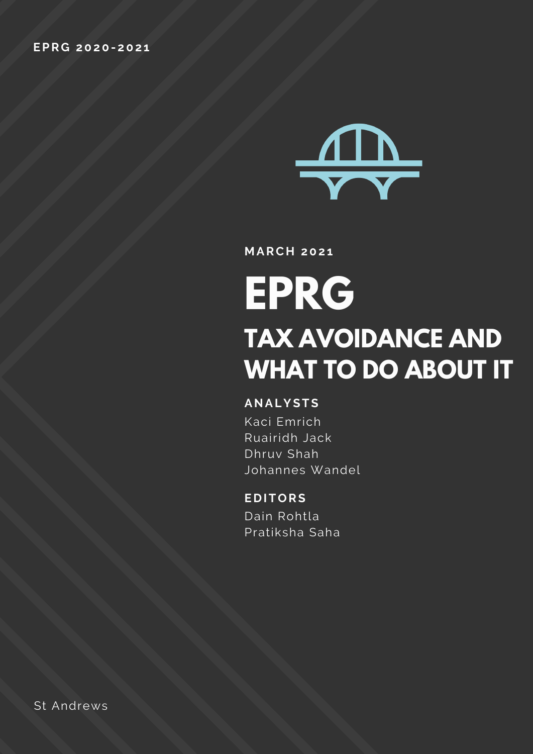

**M ARC H 202 1**

# **EPRG TAX AVOIDANCE AND WHAT TO DO ABOUT IT**

#### **ANALYSTS**

Kaci Emrich Ruairidh Jack Dhruv Shah Johannes Wandel

#### **E D ITORS**

Dain Rohtla Pratiksha Saha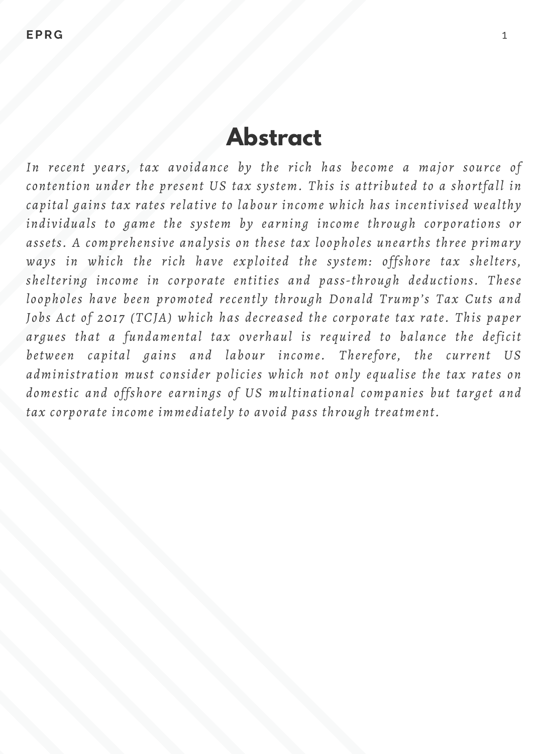# **Abstract**

*In recent years, tax avoidance by the rich has become a major source of contention under the present US tax system. This is attributed to a shortfall in capital gains tax rates relative to labour income which has incentivised wealthy individuals to game the system by earning income through corporations or assets. A comprehensive analysis on these tax loopholes unearths three primary ways in which the rich have exploited the system: offshore tax shelters, sheltering income in corporate entities and pass-through deductions. These loopholes have been promoted recently through Donald Trump's Tax Cuts and Jobs Act of 2017 (TCJA) which has decreased the corporate tax rate. This paper argues that a fundamental tax overhaul is required to balance the deficit between capital gains and labour income. Therefore, the current US administration must consider policies which not only equalise the tax rates on domestic and offshore earnings of US multinational companies but target and tax corporate income immediately to avoid pass through treatment.*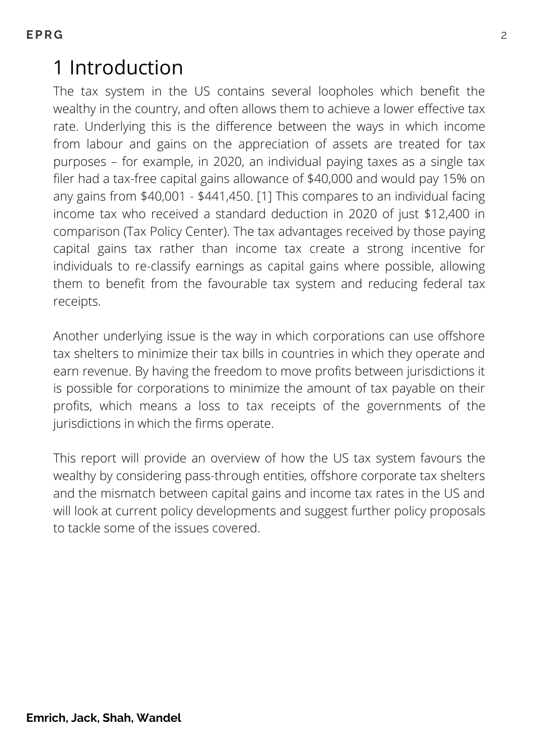# 1 Introduction

The tax system in the US contains several loopholes which benefit the wealthy in the country, and often allows them to achieve a lower effective tax rate. Underlying this is the difference between the ways in which income from labour and gains on the appreciation of assets are treated for tax purposes – for example, in 2020, an individual paying taxes as a single tax filer had a tax-free capital gains allowance of \$40,000 and would pay 15% on any gains from \$40,001 - \$441,450. [1] This compares to an individual facing income tax who received a standard deduction in 2020 of just \$12,400 in comparison (Tax Policy Center). The tax advantages received by those paying capital gains tax rather than income tax create a strong incentive for individuals to re-classify earnings as capital gains where possible, allowing them to benefit from the favourable tax system and reducing federal tax receipts.

Another underlying issue is the way in which corporations can use offshore tax shelters to minimize their tax bills in countries in which they operate and earn revenue. By having the freedom to move profits between jurisdictions it is possible for corporations to minimize the amount of tax payable on their profits, which means a loss to tax receipts of the governments of the jurisdictions in which the firms operate.

This report will provide an overview of how the US tax system favours the wealthy by considering pass-through entities, offshore corporate tax shelters and the mismatch between capital gains and income tax rates in the US and will look at current policy developments and suggest further policy proposals to tackle some of the issues covered.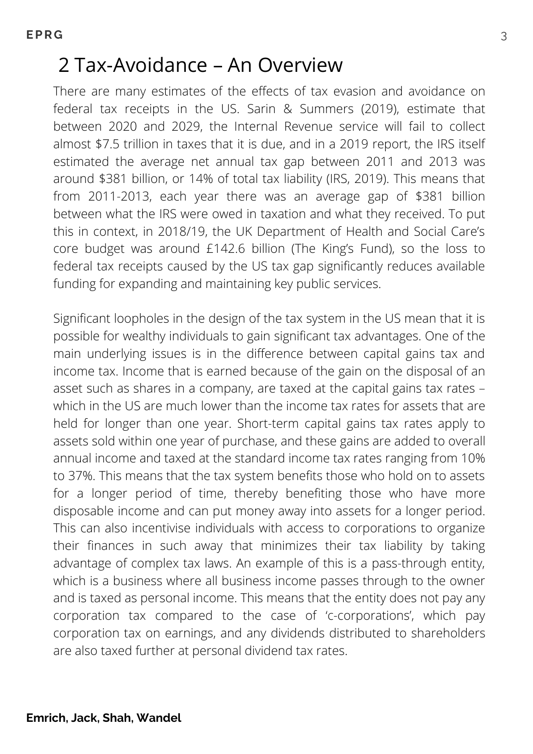### 2 Tax-Avoidance – An Overview

There are many estimates of the effects of tax evasion and avoidance on federal tax receipts in the US. Sarin & Summers (2019), estimate that between 2020 and 2029, the Internal Revenue service will fail to collect almost \$7.5 trillion in taxes that it is due, and in a 2019 report, the IRS itself estimated the average net annual tax gap between 2011 and 2013 was around \$381 billion, or 14% of total tax liability (IRS, 2019). This means that from 2011-2013, each year there was an average gap of \$381 billion between what the IRS were owed in taxation and what they received. To put this in context, in 2018/19, the UK Department of Health and Social Care's core budget was around £142.6 billion (The King's Fund), so the loss to federal tax receipts caused by the US tax gap significantly reduces available funding for expanding and maintaining key public services.

Significant loopholes in the design of the tax system in the US mean that it is possible for wealthy individuals to gain significant tax advantages. One of the main underlying issues is in the difference between capital gains tax and income tax. Income that is earned because of the gain on the disposal of an asset such as shares in a company, are taxed at the capital gains tax rates – which in the US are much lower than the income tax rates for assets that are held for longer than one year. Short-term capital gains tax rates apply to assets sold within one year of purchase, and these gains are added to overall annual income and taxed at the standard income tax rates ranging from 10% to 37%. This means that the tax system benefits those who hold on to assets for a longer period of time, thereby benefiting those who have more disposable income and can put money away into assets for a longer period. This can also incentivise individuals with access to corporations to organize their finances in such away that minimizes their tax liability by taking advantage of complex tax laws. An example of this is a pass-through entity, which is a business where all business income passes through to the owner and is taxed as personal income. This means that the entity does not pay any corporation tax compared to the case of 'c-corporations', which pay corporation tax on earnings, and any dividends distributed to shareholders are also taxed further at personal dividend tax rates.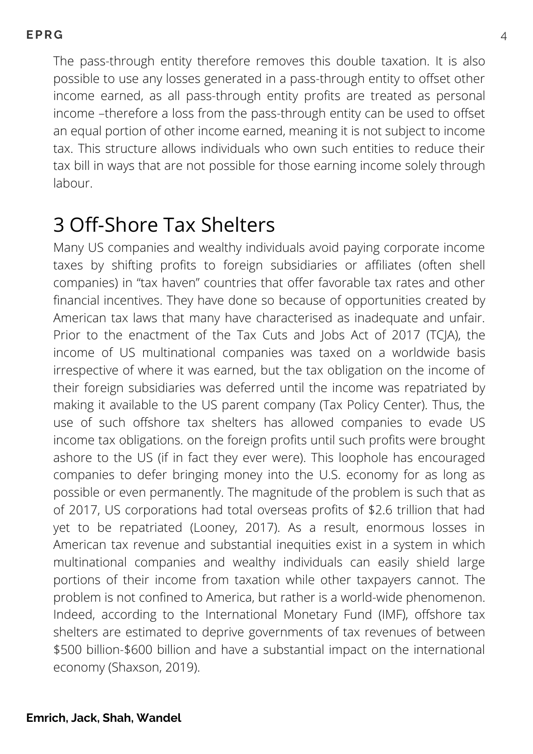The pass-through entity therefore removes this double taxation. It is also possible to use any losses generated in a pass-through entity to offset other income earned, as all pass-through entity profits are treated as personal income –therefore a loss from the pass-through entity can be used to offset an equal portion of other income earned, meaning it is not subject to income tax. This structure allows individuals who own such entities to reduce their tax bill in ways that are not possible for those earning income solely through labour.

### 3 Off-Shore Tax Shelters

Many US companies and wealthy individuals avoid paying corporate income taxes by shifting profits to foreign subsidiaries or affiliates (often shell companies) in "tax haven" countries that offer favorable tax rates and other financial incentives. They have done so because of opportunities created by American tax laws that many have characterised as inadequate and unfair. Prior to the enactment of the Tax Cuts and Jobs Act of 2017 (TCJA), the income of US multinational companies was taxed on a worldwide basis irrespective of where it was earned, but the tax obligation on the income of their foreign subsidiaries was deferred until the income was repatriated by making it available to the US parent company (Tax Policy Center). Thus, the use of such offshore tax shelters has allowed companies to evade US income tax obligations. on the foreign profits until such profits were brought ashore to the US (if in fact they ever were). This loophole has encouraged companies to defer bringing money into the U.S. economy for as long as possible or even permanently. The magnitude of the problem is such that as of 2017, US corporations had total overseas profits of \$2.6 trillion that had yet to be repatriated (Looney, 2017). As a result, enormous losses in American tax revenue and substantial inequities exist in a system in which multinational companies and wealthy individuals can easily shield large portions of their income from taxation while other taxpayers cannot. The problem is not confined to America, but rather is a world-wide phenomenon. Indeed, according to the International Monetary Fund (IMF), offshore tax shelters are estimated to deprive governments of tax revenues of between \$500 billion-\$600 billion and have a substantial impact on the international economy (Shaxson, 2019).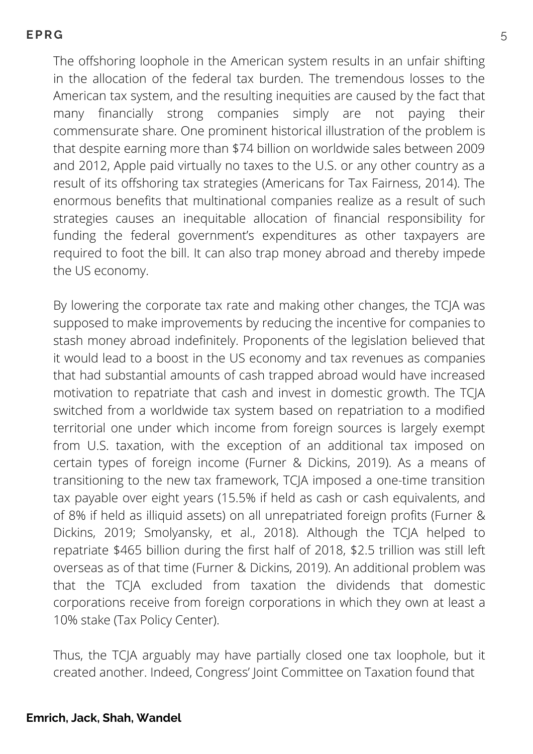The offshoring loophole in the American system results in an unfair shifting in the allocation of the federal tax burden. The tremendous losses to the American tax system, and the resulting inequities are caused by the fact that many financially strong companies simply are not paying their commensurate share. One prominent historical illustration of the problem is that despite earning more than \$74 billion on worldwide sales between 2009 and 2012, Apple paid virtually no taxes to the U.S. or any other country as a result of its offshoring tax strategies (Americans for Tax Fairness, 2014). The enormous benefits that multinational companies realize as a result of such strategies causes an inequitable allocation of financial responsibility for funding the federal government's expenditures as other taxpayers are required to foot the bill. It can also trap money abroad and thereby impede the US economy.

By lowering the corporate tax rate and making other changes, the TCJA was supposed to make improvements by reducing the incentive for companies to stash money abroad indefinitely. Proponents of the legislation believed that it would lead to a boost in the US economy and tax revenues as companies that had substantial amounts of cash trapped abroad would have increased motivation to repatriate that cash and invest in domestic growth. The TCJA switched from a worldwide tax system based on repatriation to a modified territorial one under which income from foreign sources is largely exempt from U.S. taxation, with the exception of an additional tax imposed on certain types of foreign income (Furner & Dickins, 2019). As a means of transitioning to the new tax framework, TCJA imposed a one-time transition tax payable over eight years (15.5% if held as cash or cash equivalents, and of 8% if held as illiquid assets) on all unrepatriated foreign profits (Furner & Dickins, 2019; Smolyansky, et al., 2018). Although the TCJA helped to repatriate \$465 billion during the first half of 2018, \$2.5 trillion was still left overseas as of that time (Furner & Dickins, 2019). An additional problem was that the TCJA excluded from taxation the dividends that domestic corporations receive from foreign corporations in which they own at least a 10% stake (Tax Policy Center).

Thus, the TCJA arguably may have partially closed one tax loophole, but it created another. Indeed, Congress' Joint Committee on Taxation found that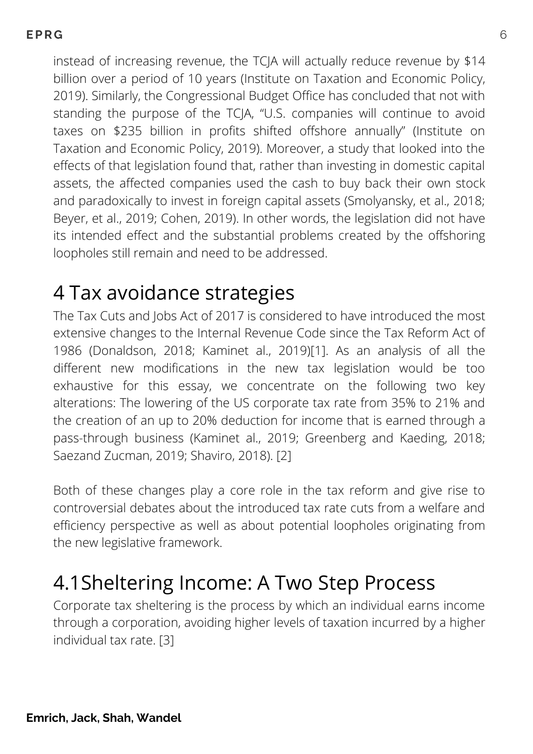instead of increasing revenue, the TCJA will actually reduce revenue by \$14 billion over a period of 10 years (Institute on Taxation and Economic Policy, 2019). Similarly, the Congressional Budget Office has concluded that not with standing the purpose of the TCJA, "U.S. companies will continue to avoid taxes on \$235 billion in profits shifted offshore annually" (Institute on Taxation and Economic Policy, 2019). Moreover, a study that looked into the effects of that legislation found that, rather than investing in domestic capital assets, the affected companies used the cash to buy back their own stock and paradoxically to invest in foreign capital assets (Smolyansky, et al., 2018; Beyer, et al., 2019; Cohen, 2019). In other words, the legislation did not have its intended effect and the substantial problems created by the offshoring loopholes still remain and need to be addressed.

### 4 Tax avoidance strategies

The Tax Cuts and Jobs Act of 2017 is considered to have introduced the most extensive changes to the Internal Revenue Code since the Tax Reform Act of 1986 (Donaldson, 2018; Kaminet al., 2019)[1]. As an analysis of all the different new modifications in the new tax legislation would be too exhaustive for this essay, we concentrate on the following two key alterations: The lowering of the US corporate tax rate from 35% to 21% and the creation of an up to 20% deduction for income that is earned through a pass-through business (Kaminet al., 2019; Greenberg and Kaeding, 2018; Saezand Zucman, 2019; Shaviro, 2018). [2]

Both of these changes play a core role in the tax reform and give rise to controversial debates about the introduced tax rate cuts from a welfare and efficiency perspective as well as about potential loopholes originating from the new legislative framework.

# 4.1Sheltering Income: A Two Step Process

Corporate tax sheltering is the process by which an individual earns income through a corporation, avoiding higher levels of taxation incurred by a higher individual tax rate. [3]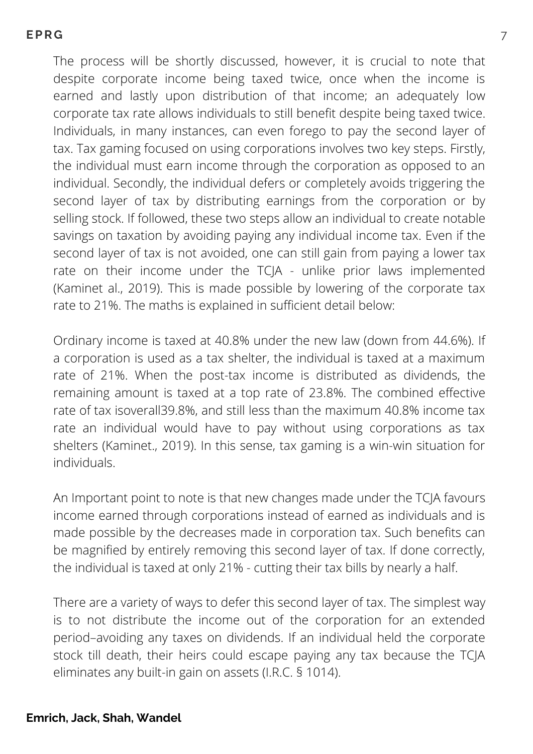The process will be shortly discussed, however, it is crucial to note that despite corporate income being taxed twice, once when the income is earned and lastly upon distribution of that income; an adequately low corporate tax rate allows individuals to still benefit despite being taxed twice. Individuals, in many instances, can even forego to pay the second layer of tax. Tax gaming focused on using corporations involves two key steps. Firstly, the individual must earn income through the corporation as opposed to an individual. Secondly, the individual defers or completely avoids triggering the second layer of tax by distributing earnings from the corporation or by selling stock. If followed, these two steps allow an individual to create notable savings on taxation by avoiding paying any individual income tax. Even if the second layer of tax is not avoided, one can still gain from paying a lower tax rate on their income under the TCJA - unlike prior laws implemented (Kaminet al., 2019). This is made possible by lowering of the corporate tax rate to 21%. The maths is explained in sufficient detail below:

Ordinary income is taxed at 40.8% under the new law (down from 44.6%). If a corporation is used as a tax shelter, the individual is taxed at a maximum rate of 21%. When the post-tax income is distributed as dividends, the remaining amount is taxed at a top rate of 23.8%. The combined effective rate of tax isoverall39.8%, and still less than the maximum 40.8% income tax rate an individual would have to pay without using corporations as tax shelters (Kaminet., 2019). In this sense, tax gaming is a win-win situation for individuals.

An Important point to note is that new changes made under the TCJA favours income earned through corporations instead of earned as individuals and is made possible by the decreases made in corporation tax. Such benefits can be magnified by entirely removing this second layer of tax. If done correctly, the individual is taxed at only 21% - cutting their tax bills by nearly a half.

There are a variety of ways to defer this second layer of tax. The simplest way is to not distribute the income out of the corporation for an extended period–avoiding any taxes on dividends. If an individual held the corporate stock till death, their heirs could escape paying any tax because the TCJA eliminates any built-in gain on assets (I.R.C. § 1014).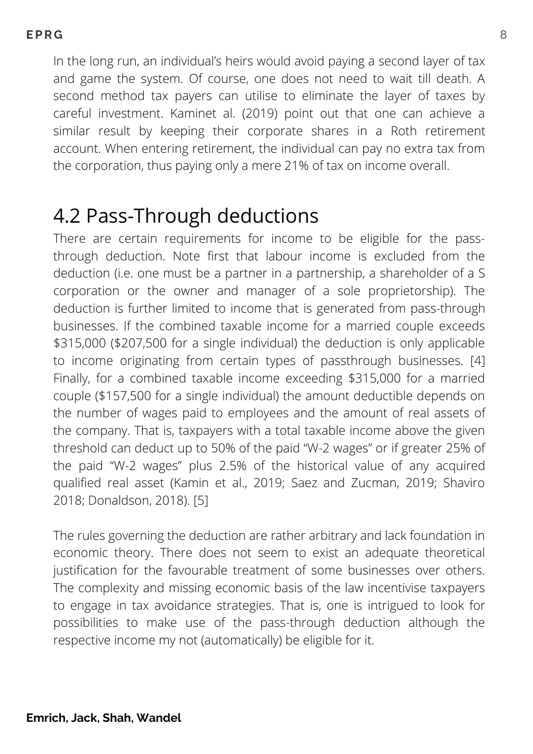In the long run, an individual's heirs would avoid paying a second layer of tax and game the system. Of course, one does not need to wait till death. A second method tax payers can utilise to eliminate the layer of taxes by careful investment. Kaminet al. (2019) point out that one can achieve a similar result by keeping their corporate shares in a Roth retirement account. When entering retirement, the individual can pay no extra tax from the corporation, thus paying only a mere 21% of tax on income overall.

### 4.2 Pass-Through deductions

There are certain requirements for income to be eligible for the passthrough deduction. Note first that labour income is excluded from the deduction (i.e. one must be a partner in a partnership, a shareholder of a S corporation or the owner and manager of a sole proprietorship). The deduction is further limited to income that is generated from pass-through businesses. If the combined taxable income for a married couple exceeds \$315,000 (\$207,500 for a single individual) the deduction is only applicable to income originating from certain types of passthrough businesses. [4] Finally, for a combined taxable income exceeding \$315,000 for a married couple (\$157,500 for a single individual) the amount deductible depends on the number of wages paid to employees and the amount of real assets of the company. That is, taxpayers with a total taxable income above the given threshold can deduct up to 50% of the paid "W-2 wages" or if greater 25% of the paid "W-2 wages" plus 2.5% of the historical value of any acquired qualified real asset (Kamin et al., 2019; Saez and Zucman, 2019; Shaviro 2018; Donaldson, 2018). [5]

The rules governing the deduction are rather arbitrary and lack foundation in economic theory. There does not seem to exist an adequate theoretical justification for the favourable treatment of some businesses over others. The complexity and missing economic basis of the law incentivise taxpayers to engage in tax avoidance strategies. That is, one is intrigued to look for possibilities to make use of the pass-through deduction although the respective income my not (automatically) be eligible for it.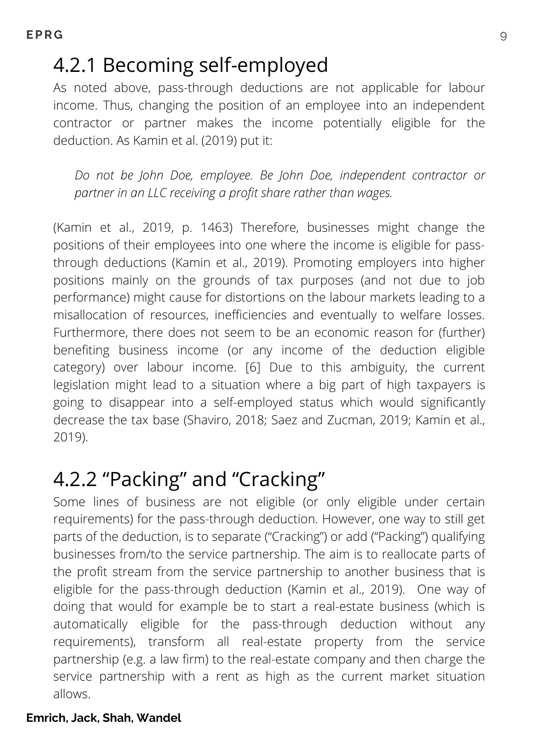### 4.2.1 Becoming self-employed

As noted above, pass-through deductions are not applicable for labour income. Thus, changing the position of an employee into an independent contractor or partner makes the income potentially eligible for the deduction. As Kamin et al. (2019) put it:

*Do not be John Doe, employee. Be John Doe, independent contractor or partner in an LLC receiving a profit share rather than wages.*

(Kamin et al., 2019, p. 1463) Therefore, businesses might change the positions of their employees into one where the income is eligible for passthrough deductions (Kamin et al., 2019). Promoting employers into higher positions mainly on the grounds of tax purposes (and not due to job performance) might cause for distortions on the labour markets leading to a misallocation of resources, inefficiencies and eventually to welfare losses. Furthermore, there does not seem to be an economic reason for (further) benefiting business income (or any income of the deduction eligible category) over labour income. [6] Due to this ambiguity, the current legislation might lead to a situation where a big part of high taxpayers is going to disappear into a self-employed status which would significantly decrease the tax base (Shaviro, 2018; Saez and Zucman, 2019; Kamin et al., 2019).

# 4.2.2 "Packing" and "Cracking"

Some lines of business are not eligible (or only eligible under certain requirements) for the pass-through deduction. However, one way to still get parts of the deduction, is to separate ("Cracking") or add ("Packing") qualifying businesses from/to the service partnership. The aim is to reallocate parts of the profit stream from the service partnership to another business that is eligible for the pass-through deduction (Kamin et al., 2019). One way of doing that would for example be to start a real-estate business (which is automatically eligible for the pass-through deduction without any requirements), transform all real-estate property from the service partnership (e.g. a law firm) to the real-estate company and then charge the service partnership with a rent as high as the current market situation allows.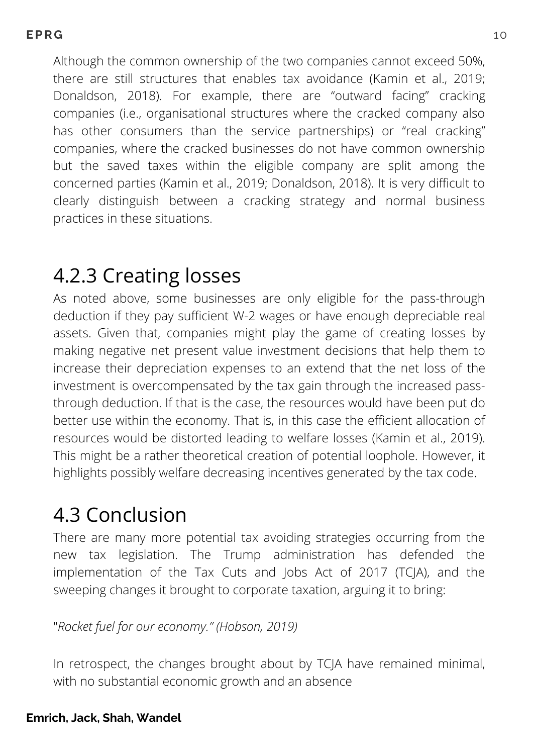Although the common ownership of the two companies cannot exceed 50%, there are still structures that enables tax avoidance (Kamin et al., 2019; Donaldson, 2018). For example, there are "outward facing" cracking companies (i.e., organisational structures where the cracked company also has other consumers than the service partnerships) or "real cracking" companies, where the cracked businesses do not have common ownership but the saved taxes within the eligible company are split among the concerned parties (Kamin et al., 2019; Donaldson, 2018). It is very difficult to clearly distinguish between a cracking strategy and normal business practices in these situations.

### 4.2.3 Creating losses

As noted above, some businesses are only eligible for the pass-through deduction if they pay sufficient W-2 wages or have enough depreciable real assets. Given that, companies might play the game of creating losses by making negative net present value investment decisions that help them to increase their depreciation expenses to an extend that the net loss of the investment is overcompensated by the tax gain through the increased passthrough deduction. If that is the case, the resources would have been put do better use within the economy. That is, in this case the efficient allocation of resources would be distorted leading to welfare losses (Kamin et al., 2019). This might be a rather theoretical creation of potential loophole. However, it highlights possibly welfare decreasing incentives generated by the tax code.

# 4.3 Conclusion

There are many more potential tax avoiding strategies occurring from the new tax legislation. The Trump administration has defended the implementation of the Tax Cuts and Jobs Act of 2017 (TCJA), and the sweeping changes it brought to corporate taxation, arguing it to bring:

#### "*Rocket fuel for our economy." (Hobson, 2019)*

In retrospect, the changes brought about by TCJA have remained minimal, with no substantial economic growth and an absence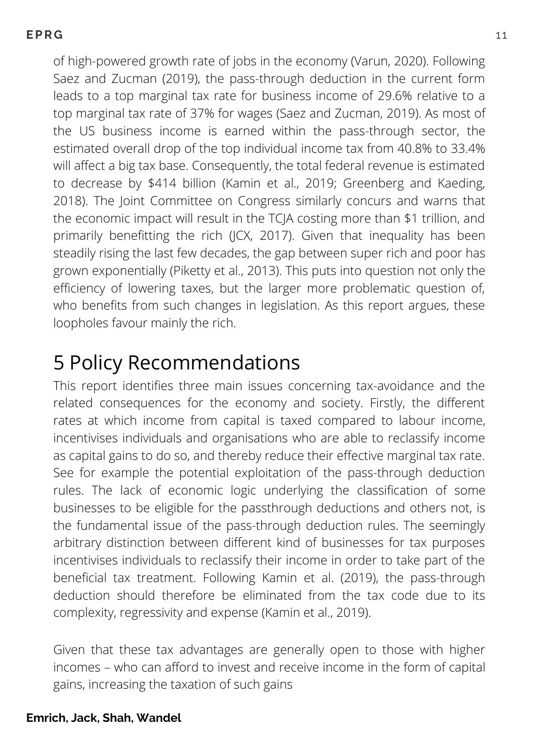of high-powered growth rate of jobs in the economy (Varun, 2020). Following Saez and Zucman (2019), the pass-through deduction in the current form leads to a top marginal tax rate for business income of 29.6% relative to a top marginal tax rate of 37% for wages (Saez and Zucman, 2019). As most of the US business income is earned within the pass-through sector, the estimated overall drop of the top individual income tax from 40.8% to 33.4% will affect a big tax base. Consequently, the total federal revenue is estimated to decrease by \$414 billion (Kamin et al., 2019; Greenberg and Kaeding, 2018). The Joint Committee on Congress similarly concurs and warns that the economic impact will result in the TCJA costing more than \$1 trillion, and primarily benefitting the rich (JCX, 2017). Given that inequality has been steadily rising the last few decades, the gap between super rich and poor has grown exponentially (Piketty et al., 2013). This puts into question not only the efficiency of lowering taxes, but the larger more problematic question of, who benefits from such changes in legislation. As this report argues, these loopholes favour mainly the rich.

### 5 Policy Recommendations

This report identifies three main issues concerning tax-avoidance and the related consequences for the economy and society. Firstly, the different rates at which income from capital is taxed compared to labour income, incentivises individuals and organisations who are able to reclassify income as capital gains to do so, and thereby reduce their effective marginal tax rate. See for example the potential exploitation of the pass-through deduction rules. The lack of economic logic underlying the classification of some businesses to be eligible for the passthrough deductions and others not, is the fundamental issue of the pass-through deduction rules. The seemingly arbitrary distinction between different kind of businesses for tax purposes incentivises individuals to reclassify their income in order to take part of the beneficial tax treatment. Following Kamin et al. (2019), the pass-through deduction should therefore be eliminated from the tax code due to its complexity, regressivity and expense (Kamin et al., 2019).

Given that these tax advantages are generally open to those with higher incomes – who can afford to invest and receive income in the form of capital gains, increasing the taxation of such gains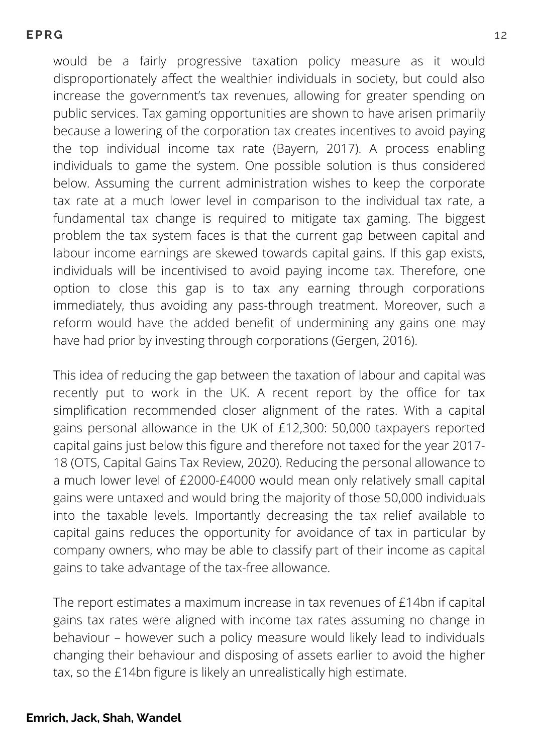would be a fairly progressive taxation policy measure as it would disproportionately affect the wealthier individuals in society, but could also increase the government's tax revenues, allowing for greater spending on public services. Tax gaming opportunities are shown to have arisen primarily because a lowering of the corporation tax creates incentives to avoid paying the top individual income tax rate (Bayern, 2017). A process enabling individuals to game the system. One possible solution is thus considered below. Assuming the current administration wishes to keep the corporate tax rate at a much lower level in comparison to the individual tax rate, a fundamental tax change is required to mitigate tax gaming. The biggest problem the tax system faces is that the current gap between capital and labour income earnings are skewed towards capital gains. If this gap exists, individuals will be incentivised to avoid paying income tax. Therefore, one option to close this gap is to tax any earning through corporations immediately, thus avoiding any pass-through treatment. Moreover, such a reform would have the added benefit of undermining any gains one may have had prior by investing through corporations (Gergen, 2016).

This idea of reducing the gap between the taxation of labour and capital was recently put to work in the UK. A recent report by the office for tax simplification recommended closer alignment of the rates. With a capital gains personal allowance in the UK of £12,300: 50,000 taxpayers reported capital gains just below this figure and therefore not taxed for the year 2017- 18 (OTS, Capital Gains Tax Review, 2020). Reducing the personal allowance to a much lower level of £2000-£4000 would mean only relatively small capital gains were untaxed and would bring the majority of those 50,000 individuals into the taxable levels. Importantly decreasing the tax relief available to capital gains reduces the opportunity for avoidance of tax in particular by company owners, who may be able to classify part of their income as capital gains to take advantage of the tax-free allowance.

The report estimates a maximum increase in tax revenues of £14bn if capital gains tax rates were aligned with income tax rates assuming no change in behaviour – however such a policy measure would likely lead to individuals changing their behaviour and disposing of assets earlier to avoid the higher tax, so the £14bn figure is likely an unrealistically high estimate.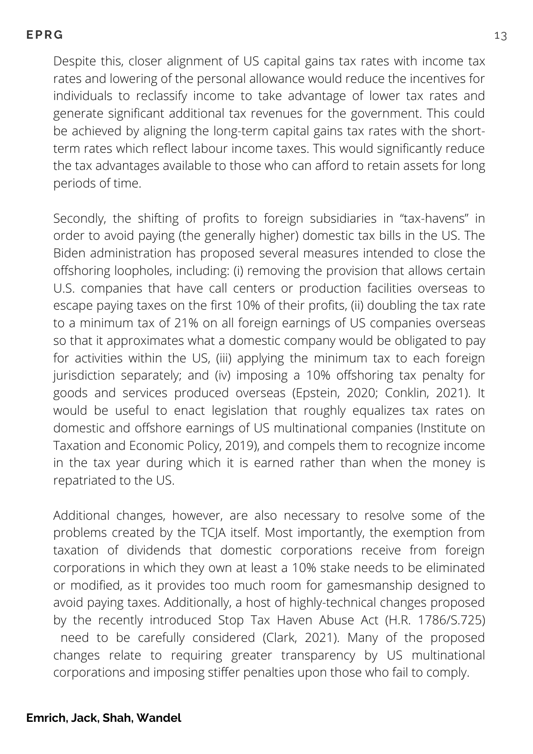Despite this, closer alignment of US capital gains tax rates with income tax rates and lowering of the personal allowance would reduce the incentives for individuals to reclassify income to take advantage of lower tax rates and generate significant additional tax revenues for the government. This could be achieved by aligning the long-term capital gains tax rates with the shortterm rates which reflect labour income taxes. This would significantly reduce the tax advantages available to those who can afford to retain assets for long periods of time.

Secondly, the shifting of profits to foreign subsidiaries in "tax-havens" in order to avoid paying (the generally higher) domestic tax bills in the US. The Biden administration has proposed several measures intended to close the offshoring loopholes, including: (i) removing the provision that allows certain U.S. companies that have call centers or production facilities overseas to escape paying taxes on the first 10% of their profits, (ii) doubling the tax rate to a minimum tax of 21% on all foreign earnings of US companies overseas so that it approximates what a domestic company would be obligated to pay for activities within the US, (iii) applying the minimum tax to each foreign jurisdiction separately; and (iv) imposing a 10% offshoring tax penalty for goods and services produced overseas (Epstein, 2020; Conklin, 2021). It would be useful to enact legislation that roughly equalizes tax rates on domestic and offshore earnings of US multinational companies (Institute on Taxation and Economic Policy, 2019), and compels them to recognize income in the tax year during which it is earned rather than when the money is repatriated to the US.

Additional changes, however, are also necessary to resolve some of the problems created by the TCJA itself. Most importantly, the exemption from taxation of dividends that domestic corporations receive from foreign corporations in which they own at least a 10% stake needs to be eliminated or modified, as it provides too much room for gamesmanship designed to avoid paying taxes. Additionally, a host of highly-technical changes proposed by the recently introduced Stop Tax Haven Abuse Act (H.R. 1786/S.725) need to be carefully considered (Clark, 2021). Many of the proposed changes relate to requiring greater transparency by US multinational corporations and imposing stiffer penalties upon those who fail to comply.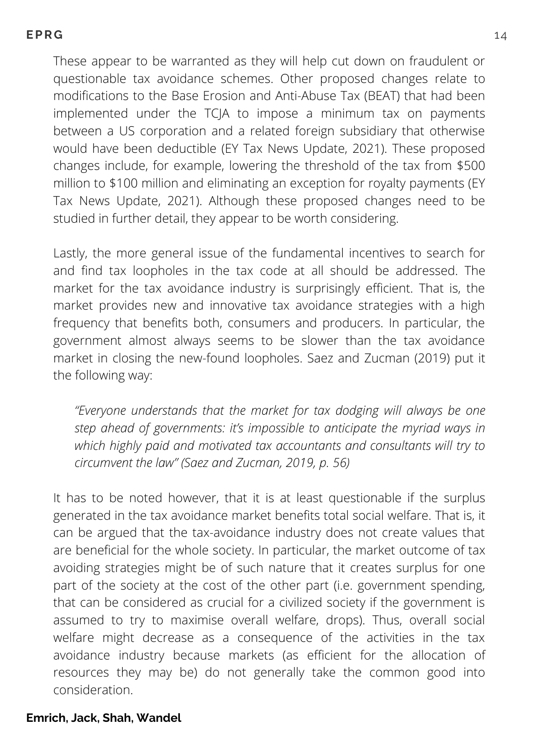These appear to be warranted as they will help cut down on fraudulent or questionable tax avoidance schemes. Other proposed changes relate to modifications to the Base Erosion and Anti-Abuse Tax (BEAT) that had been implemented under the TCJA to impose a minimum tax on payments between a US corporation and a related foreign subsidiary that otherwise would have been deductible (EY Tax News Update, 2021). These proposed changes include, for example, lowering the threshold of the tax from \$500 million to \$100 million and eliminating an exception for royalty payments (EY Tax News Update, 2021). Although these proposed changes need to be studied in further detail, they appear to be worth considering.

Lastly, the more general issue of the fundamental incentives to search for and find tax loopholes in the tax code at all should be addressed. The market for the tax avoidance industry is surprisingly efficient. That is, the market provides new and innovative tax avoidance strategies with a high frequency that benefits both, consumers and producers. In particular, the government almost always seems to be slower than the tax avoidance market in closing the new-found loopholes. Saez and Zucman (2019) put it the following way:

*"Everyone understands that the market for tax dodging will always be one step ahead of governments: it's impossible to anticipate the myriad ways in which highly paid and motivated tax accountants and consultants will try to circumvent the law" (Saez and Zucman, 2019, p. 56)*

It has to be noted however, that it is at least questionable if the surplus generated in the tax avoidance market benefits total social welfare. That is, it can be argued that the tax-avoidance industry does not create values that are beneficial for the whole society. In particular, the market outcome of tax avoiding strategies might be of such nature that it creates surplus for one part of the society at the cost of the other part (i.e. government spending, that can be considered as crucial for a civilized society if the government is assumed to try to maximise overall welfare, drops). Thus, overall social welfare might decrease as a consequence of the activities in the tax avoidance industry because markets (as efficient for the allocation of resources they may be) do not generally take the common good into consideration.

#### **Emrich, Jack, Shah, Wandel**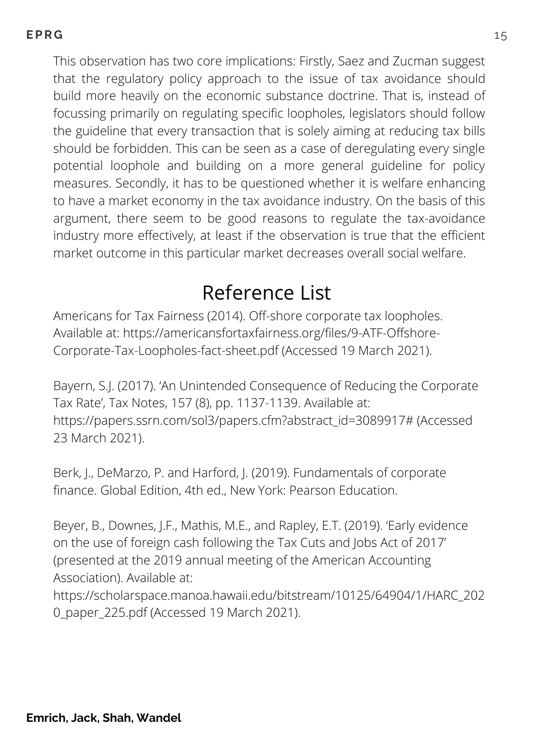This observation has two core implications: Firstly, Saez and Zucman suggest that the regulatory policy approach to the issue of tax avoidance should build more heavily on the economic substance doctrine. That is, instead of focussing primarily on regulating specific loopholes, legislators should follow the guideline that every transaction that is solely aiming at reducing tax bills should be forbidden. This can be seen as a case of deregulating every single potential loophole and building on a more general guideline for policy measures. Secondly, it has to be questioned whether it is welfare enhancing to have a market economy in the tax avoidance industry. On the basis of this argument, there seem to be good reasons to regulate the tax-avoidance industry more effectively, at least if the observation is true that the efficient market outcome in this particular market decreases overall social welfare.

# Reference List

Americans for Tax Fairness (2014). Off-shore corporate tax loopholes. Available at: [https://americansfortaxfairness.org/files/9-ATF-Offshore-](https://americansfortaxfairness.org/files/9-ATF-Offshore-Corporate-Tax-Loopholes-fact-sheet.pdf)Corporate-Tax-Loopholes-fact-sheet.pdf (Accessed 19 March 2021).

Bayern, S.J. (2017). 'An Unintended Consequence of Reducing the Corporate Tax Rate', Tax Notes, 157 (8), pp. 1137-1139. Available at: [https://papers.ssrn.com/sol3/papers.cfm?abstract\\_id=3089917#](https://papers.ssrn.com/sol3/papers.cfm?abstract_id=3089917) (Accessed 23 March 2021).

Berk, J., DeMarzo, P. and Harford, J. (2019). Fundamentals of corporate finance. Global Edition, 4th ed., New York: Pearson Education.

Beyer, B., Downes, J.F., Mathis, M.E., and Rapley, E.T. (2019). 'Early evidence on the use of foreign cash following the Tax Cuts and Jobs Act of 2017' (presented at the 2019 annual meeting of the American Accounting Association). Available at:

[https://scholarspace.manoa.hawaii.edu/bitstream/10125/64904/1/HARC\\_202](https://scholarspace.manoa.hawaii.edu/bitstream/10125/64904/1/HARC_2020_paper_225.pdf) 0 paper 225.pdf (Accessed 19 March 2021).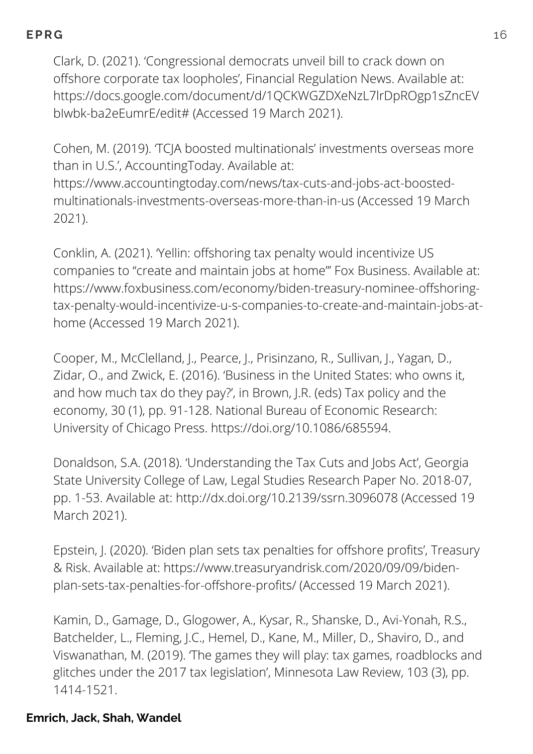Clark, D. (2021). 'Congressional democrats unveil bill to crack down on offshore corporate tax loopholes', Financial Regulation News. Available at: [https://docs.google.com/document/d/1QCKWGZDXeNzL7lrDpROgp1sZncEV](https://docs.google.com/document/d/1QCKWGZDXeNzL7lrDpROgp1sZncEVbIwbk-ba2eEumrE/edit) bIwbk-ba2eEumrE/edit# (Accessed 19 March 2021).

Cohen, M. (2019). 'TCJA boosted multinationals' investments overseas more than in U.S.', AccountingToday. Available at: [https://www.accountingtoday.com/news/tax-cuts-and-jobs-act-boosted](https://www.accountingtoday.com/news/tax-cuts-and-jobs-act-boosted-multinationals-investments-overseas-more-than-in-us)multinationals-investments-overseas-more-than-in-us (Accessed 19 March 2021).

Conklin, A. (2021). 'Yellin: offshoring tax penalty would incentivize US companies to "create and maintain jobs at home"' Fox Business. Available at: https://www.foxbusiness.com/economy/biden-treasury-nominee-offshoring[tax-penalty-would-incentivize-u-s-companies-to-create-and-maintain-jobs-at](https://www.foxbusiness.com/economy/biden-treasury-nominee-offshoring-tax-penalty-would-incentivize-u-s-companies-to-create-and-maintain-jobs-at-home)home (Accessed 19 March 2021).

Cooper, M., McClelland, J., Pearce, J., Prisinzano, R., Sullivan, J., Yagan, D., Zidar, O., and Zwick, E. (2016). 'Business in the United States: who owns it, and how much tax do they pay?', in Brown, J.R. (eds) Tax policy and the economy, 30 (1), pp. 91-128. National Bureau of Economic Research: University of Chicago Press. <https://doi.org/10.1086/685594>.

Donaldson, S.A. (2018). 'Understanding the Tax Cuts and Jobs Act', Georgia State University College of Law, Legal Studies Research Paper No. 2018-07, pp. 1-53. Available at: [http://dx.doi.org/10.2139/ssrn.3096078](https://dx.doi.org/10.2139/ssrn.3096078) (Accessed 19 March 2021).

Epstein, J. (2020). 'Biden plan sets tax penalties for offshore profits', Treasury & Risk. Available at: [https://www.treasuryandrisk.com/2020/09/09/biden](https://www.treasuryandrisk.com/2020/09/09/biden-plan-sets-tax-penalties-for-offshore-profits/)plan-sets-tax-penalties-for-offshore-profits/ (Accessed 19 March 2021).

Kamin, D., Gamage, D., Glogower, A., Kysar, R., Shanske, D., Avi-Yonah, R.S., Batchelder, L., Fleming, J.C., Hemel, D., Kane, M., Miller, D., Shaviro, D., and Viswanathan, M. (2019). 'The games they will play: tax games, roadblocks and glitches under the 2017 tax legislation', Minnesota Law Review, 103 (3), pp. 1414-1521.

#### **Emrich, Jack, Shah, Wandel**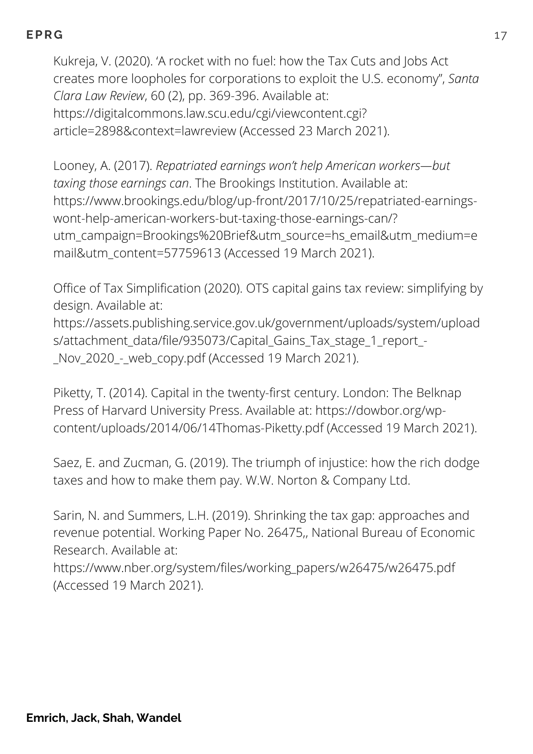Kukreja, V. (2020). 'A rocket with no fuel: how the Tax Cuts and Jobs Act creates more loopholes for corporations to exploit the U.S. economy", *Santa Clara Law Review*, 60 (2), pp. 369-396. Available at: [https://digitalcommons.law.scu.edu/cgi/viewcontent.cgi?](https://digitalcommons.law.scu.edu/cgi/viewcontent.cgi?article=2898&context=lawreview) article=2898&context=lawreview (Accessed 23 March 2021).

Looney, A. (2017). *Repatriated earnings won't help American workers—but taxing those earnings can*. The Brookings Institution. Available at: https://www.brookings.edu/blog/up-front/2017/10/25/repatriated-earningswont-help-american-workers-but-taxing-those-earnings-can/? [utm\\_campaign=Brookings%20Brief&utm\\_source=hs\\_email&utm\\_medium=e](https://www.brookings.edu/blog/up-front/2017/10/25/repatriated-earnings-wont-help-american-workers-but-taxing-those-earnings-can/?utm_campaign=Brookings%20Brief&utm_source=hs_email&utm_medium=email&utm_content=57759613) mail&utm\_content=57759613 (Accessed 19 March 2021).

Office of Tax Simplification (2020). OTS capital gains tax review: simplifying by design. Available at:

[https://assets.publishing.service.gov.uk/government/uploads/system/upload](https://assets.publishing.service.gov.uk/government/uploads/system/uploads/attachment_data/file/935073/Capital_Gains_Tax_stage_1_report_-_Nov_2020_-_web_copy.pdf) s/attachment\_data/file/935073/Capital\_Gains\_Tax\_stage\_1\_report\_- \_Nov\_2020\_-\_web\_copy.pdf (Accessed 19 March 2021).

Piketty, T. (2014). Capital in the twenty-first century. London: The Belknap Press of Harvard University Press. Available at: https://dowbor.org/wp[content/uploads/2014/06/14Thomas-Piketty.pdf](https://dowbor.org/wp-content/uploads/2014/06/14Thomas-Piketty.pdf) (Accessed 19 March 2021).

Saez, E. and Zucman, G. (2019). The triumph of injustice: how the rich dodge taxes and how to make them pay. W.W. Norton & Company Ltd.

Sarin, N. and Summers, L.H. (2019). Shrinking the tax gap: approaches and revenue potential. Working Paper No. 26475,, National Bureau of Economic Research. Available at:

[https://www.nber.org/system/files/working\\_papers/w26475/w26475.pdf](https://www.nber.org/system/files/working_papers/w26475/w26475.pdf) (Accessed 19 March 2021).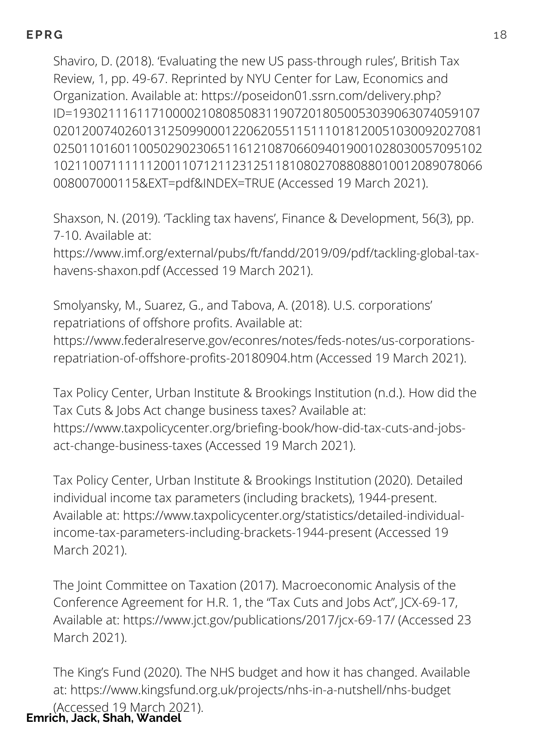Shaviro, D. (2018). 'Evaluating the new US pass-through rules', British Tax Review, 1, pp. 49-67. Reprinted by NYU Center for Law, Economics and Organization. Available at: https://poseidon01.ssrn.com/delivery.php? ID=193021116117100002108085083119072018050053039063074059107 [020120074026013125099000122062055115111018120051030092027081](https://poseidon01.ssrn.com/delivery.php?ID=193021116117100002108085083119072018050053039063074059107020120074026013125099000122062055115111018120051030092027081025011016011005029023065116121087066094019001028030057095102102110071111112001107121123125118108027088088010012089078066008007000115&EXT=pdf&INDEX=TRUE) 025011016011005029023065116121087066094019001028030057095102 102110071111112001107121123125118108027088088010012089078066 008007000115&EXT=pdf&INDEX=TRUE (Accessed 19 March 2021).

Shaxson, N. (2019). 'Tackling tax havens', Finance & Development, 56(3), pp. 7-10. Available at:

[https://www.imf.org/external/pubs/ft/fandd/2019/09/pdf/tackling-global-tax](https://www.imf.org/external/pubs/ft/fandd/2019/09/pdf/tackling-global-tax-havens-shaxon.pdf)havens-shaxon.pdf (Accessed 19 March 2021).

Smolyansky, M., Suarez, G., and Tabova, A. (2018). U.S. corporations' repatriations of offshore profits. Available at: [https://www.federalreserve.gov/econres/notes/feds-notes/us-corporations](https://www.federalreserve.gov/econres/notes/feds-notes/us-corporations-repatriation-of-offshore-profits-20180904.htm)repatriation-of-offshore-profits-20180904.htm (Accessed 19 March 2021).

Tax Policy Center, Urban Institute & Brookings Institution (n.d.). How did the Tax Cuts & Jobs Act change business taxes? Available at: [https://www.taxpolicycenter.org/briefing-book/how-did-tax-cuts-and-jobs](https://www.taxpolicycenter.org/briefing-book/how-did-tax-cuts-and-jobs-act-change-business-taxes)act-change-business-taxes (Accessed 19 March 2021).

Tax Policy Center, Urban Institute & Brookings Institution (2020). Detailed individual income tax parameters (including brackets), 1944-present. Available at: [https://www.taxpolicycenter.org/statistics/detailed-individual](https://www.taxpolicycenter.org/statistics/detailed-individual-income-tax-parameters-including-brackets-1944-present)income-tax-parameters-including-brackets-1944-present (Accessed 19 March 2021).

The Joint Committee on Taxation (2017). Macroeconomic Analysis of the Conference Agreement for H.R. 1, the "Tax Cuts and Jobs Act", JCX-69-17, Available at: <https://www.jct.gov/publications/2017/jcx-69-17/> (Accessed 23 March 2021).

The King's Fund (2020). The NHS budget and how it has changed. Available at: <https://www.kingsfund.org.uk/projects/nhs-in-a-nutshell/nhs-budget> (Accessed 19 March 2021). **Emrich, Jack, Shah, Wandel**